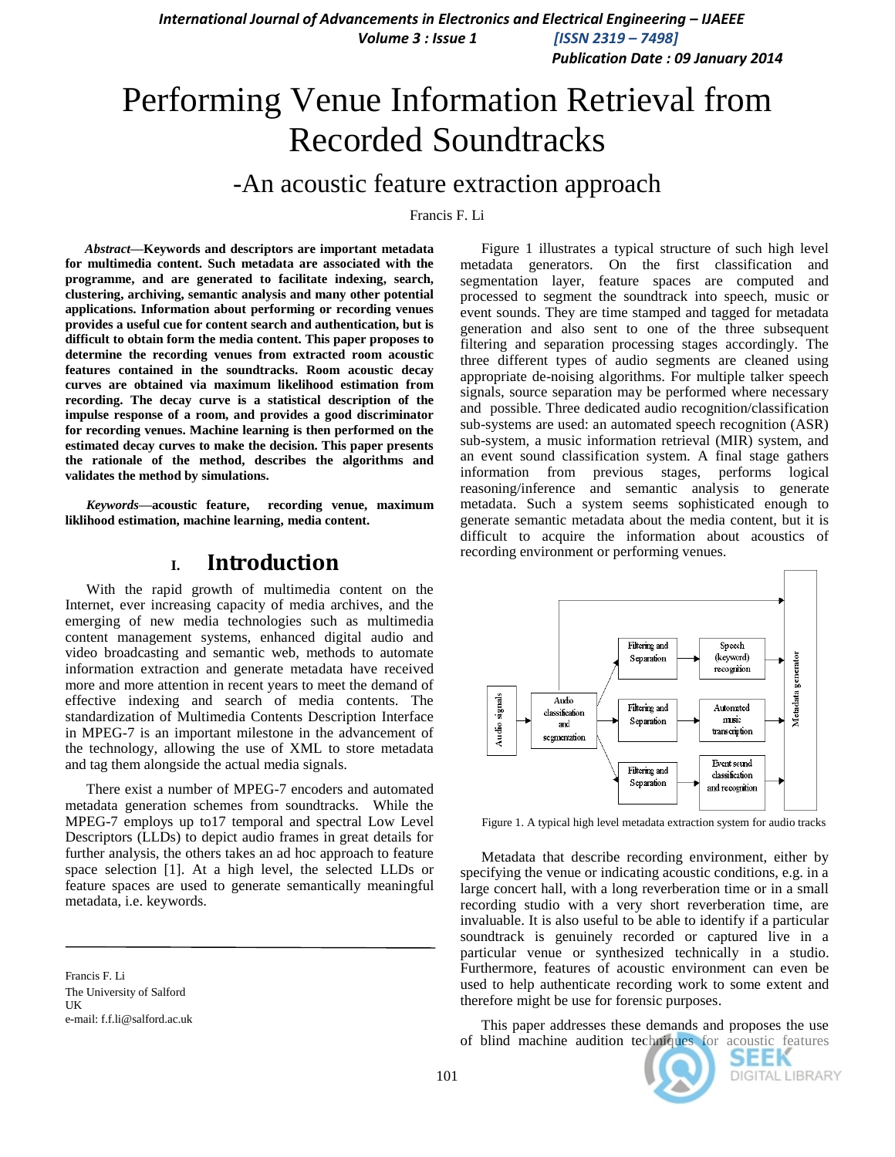*International Journal of Advancements in Electronics and Electrical Engineering - IJAEEE Volume 3 : Issue 1 [ISSN 2319 – 7498]*

*Publication Date : 09 January 2014*

# Performing Venue Information Retrieval from Recorded Soundtracks

# -An acoustic feature extraction approach

Francis F. Li

*Abstract***—Keywords and descriptors are important metadata for multimedia content. Such metadata are associated with the programme, and are generated to facilitate indexing, search, clustering, archiving, semantic analysis and many other potential applications. Information about performing or recording venues provides a useful cue for content search and authentication, but is difficult to obtain form the media content. This paper proposes to determine the recording venues from extracted room acoustic features contained in the soundtracks. Room acoustic decay curves are obtained via maximum likelihood estimation from recording. The decay curve is a statistical description of the impulse response of a room, and provides a good discriminator for recording venues. Machine learning is then performed on the estimated decay curves to make the decision. This paper presents the rationale of the method, describes the algorithms and validates the method by simulations.**

*Keywords—***acoustic feature, recording venue, maximum liklihood estimation, machine learning, media content.**

### **I. Introduction**

With the rapid growth of multimedia content on the Internet, ever increasing capacity of media archives, and the emerging of new media technologies such as multimedia content management systems, enhanced digital audio and video broadcasting and semantic web, methods to automate information extraction and generate metadata have received more and more attention in recent years to meet the demand of effective indexing and search of media contents. The standardization of Multimedia Contents Description Interface in MPEG-7 is an important milestone in the advancement of the technology, allowing the use of XML to store metadata and tag them alongside the actual media signals.

There exist a number of MPEG-7 encoders and automated metadata generation schemes from soundtracks. While the MPEG-7 employs up to17 temporal and spectral Low Level Descriptors (LLDs) to depict audio frames in great details for further analysis, the others takes an ad hoc approach to feature space selection [1]. At a high level, the selected LLDs or feature spaces are used to generate semantically meaningful metadata, i.e. keywords.

Francis F. Li The University of Salford UK e-mail: f.f.li@salford.ac.uk

Figure 1 illustrates a typical structure of such high level metadata generators. On the first classification and segmentation layer, feature spaces are computed and processed to segment the soundtrack into speech, music or event sounds. They are time stamped and tagged for metadata generation and also sent to one of the three subsequent filtering and separation processing stages accordingly. The three different types of audio segments are cleaned using appropriate de-noising algorithms. For multiple talker speech signals, source separation may be performed where necessary and possible. Three dedicated audio recognition/classification sub-systems are used: an automated speech recognition (ASR) sub-system, a music information retrieval (MIR) system, and an event sound classification system. A final stage gathers information from previous stages, performs logical reasoning/inference and semantic analysis to generate metadata. Such a system seems sophisticated enough to generate semantic metadata about the media content, but it is difficult to acquire the information about acoustics of recording environment or performing venues.



Figure 1. A typical high level metadata extraction system for audio tracks

Metadata that describe recording environment, either by specifying the venue or indicating acoustic conditions, e.g. in a large concert hall, with a long reverberation time or in a small recording studio with a very short reverberation time, are invaluable. It is also useful to be able to identify if a particular soundtrack is genuinely recorded or captured live in a particular venue or synthesized technically in a studio. Furthermore, features of acoustic environment can even be used to help authenticate recording work to some extent and therefore might be use for forensic purposes.

This paper addresses these demands and proposes the use of blind machine audition techniques for acoustic features



SEEK DIGITAL LIBRARY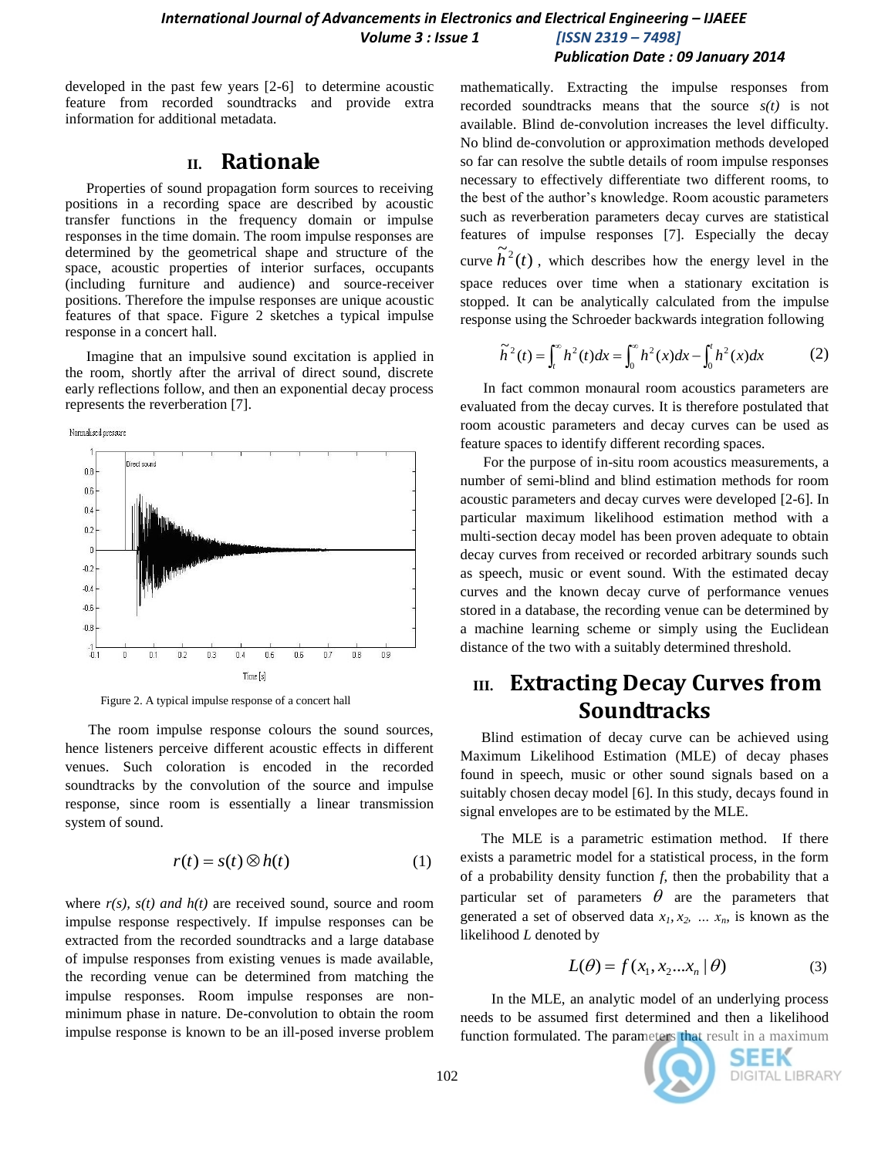developed in the past few years [2-6] to determine acoustic feature from recorded soundtracks and provide extra information for additional metadata.

## **II. Rationale**

Properties of sound propagation form sources to receiving positions in a recording space are described by acoustic transfer functions in the frequency domain or impulse responses in the time domain. The room impulse responses are determined by the geometrical shape and structure of the space, acoustic properties of interior surfaces, occupants (including furniture and audience) and source-receiver positions. Therefore the impulse responses are unique acoustic features of that space. Figure 2 sketches a typical impulse response in a concert hall.

Imagine that an impulsive sound excitation is applied in the room, shortly after the arrival of direct sound, discrete early reflections follow, and then an exponential decay process represents the reverberation [7].





Figure 2. A typical impulse response of a concert hall

The room impulse response colours the sound sources, hence listeners perceive different acoustic effects in different venues. Such coloration is encoded in the recorded soundtracks by the convolution of the source and impulse response, since room is essentially a linear transmission system of sound.

$$
r(t) = s(t) \otimes h(t) \tag{1}
$$

where  $r(s)$ ,  $s(t)$  and  $h(t)$  are received sound, source and room impulse response respectively. If impulse responses can be extracted from the recorded soundtracks and a large database of impulse responses from existing venues is made available, the recording venue can be determined from matching the impulse responses. Room impulse responses are nonminimum phase in nature. De-convolution to obtain the room impulse response is known to be an ill-posed inverse problem mathematically. Extracting the impulse responses from recorded soundtracks means that the source *s(t)* is not available. Blind de-convolution increases the level difficulty. No blind de-convolution or approximation methods developed so far can resolve the subtle details of room impulse responses necessary to effectively differentiate two different rooms, to the best of the author's knowledge. Room acoustic parameters such as reverberation parameters decay curves are statistical features of impulse responses [7]. Especially the decay curve  $\tilde{h}^2(t)$ , which describes how the energy level in the space reduces over time when a stationary excitation is stopped. It can be analytically calculated from the impulse response using the Schroeder backwards integration following

$$
\tilde{h}^{2}(t) = \int_{t}^{\infty} h^{2}(t)dx = \int_{0}^{\infty} h^{2}(x)dx - \int_{0}^{t} h^{2}(x)dx
$$
 (2)

In fact common monaural room acoustics parameters are evaluated from the decay curves. It is therefore postulated that room acoustic parameters and decay curves can be used as feature spaces to identify different recording spaces.

For the purpose of in-situ room acoustics measurements, a number of semi-blind and blind estimation methods for room acoustic parameters and decay curves were developed [2-6]. In particular maximum likelihood estimation method with a multi-section decay model has been proven adequate to obtain decay curves from received or recorded arbitrary sounds such as speech, music or event sound. With the estimated decay curves and the known decay curve of performance venues stored in a database, the recording venue can be determined by a machine learning scheme or simply using the Euclidean distance of the two with a suitably determined threshold.

# **III. Extracting Decay Curves from Soundtracks**

Blind estimation of decay curve can be achieved using Maximum Likelihood Estimation (MLE) of decay phases found in speech, music or other sound signals based on a suitably chosen decay model [6]. In this study, decays found in signal envelopes are to be estimated by the MLE.

The MLE is a parametric estimation method. If there exists a parametric model for a statistical process, in the form of a probability density function *f*, then the probability that a particular set of parameters  $\theta$  are the parameters that generated a set of observed data  $x_1, x_2, \ldots, x_n$  is known as the likelihood *L* denoted by

$$
L(\theta) = f(x_1, x_2...x_n \mid \theta) \tag{3}
$$

In the MLE, an analytic model of an underlying process needs to be assumed first determined and then a likelihood function formulated. The parameters that result in a maximum

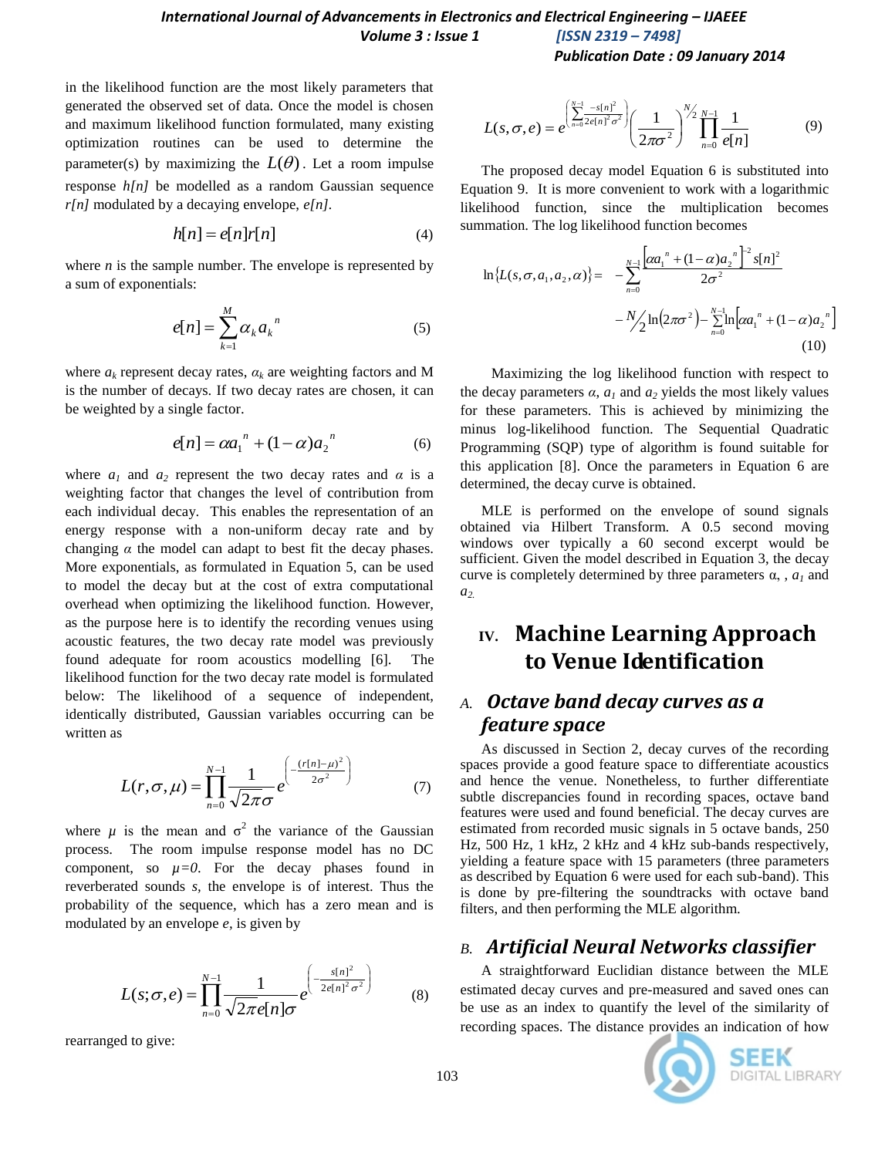*Publication Date : 09 January 2014*

in the likelihood function are the most likely parameters that generated the observed set of data. Once the model is chosen and maximum likelihood function formulated, many existing optimization routines can be used to determine the parameter(s) by maximizing the  $L(\theta)$ . Let a room impulse response *h[n]* be modelled as a random Gaussian sequence *r[n]* modulated by a decaying envelope, *e[n].*

$$
h[n] = e[n]r[n] \tag{4}
$$

where *n* is the sample number. The envelope is represented by a sum of exponentials:

$$
e[n] = \sum_{k=1}^{M} \alpha_k a_k^{n}
$$
 (5)

where  $a_k$  represent decay rates,  $a_k$  are weighting factors and M is the number of decays. If two decay rates are chosen, it can be weighted by a single factor.

$$
e[n] = \alpha a_1^{n} + (1 - \alpha) a_2^{n}
$$
 (6)

where  $a_1$  and  $a_2$  represent the two decay rates and  $\alpha$  is a weighting factor that changes the level of contribution from each individual decay. This enables the representation of an energy response with a non-uniform decay rate and by changing  $\alpha$  the model can adapt to best fit the decay phases. More exponentials, as formulated in Equation 5, can be used to model the decay but at the cost of extra computational overhead when optimizing the likelihood function. However, as the purpose here is to identify the recording venues using acoustic features, the two decay rate model was previously found adequate for room acoustics modelling [6]. The likelihood function for the two decay rate model is formulated below: The likelihood of a sequence of independent, identically distributed, Gaussian variables occurring can be written as

$$
L(r,\sigma,\mu) = \prod_{n=0}^{N-1} \frac{1}{\sqrt{2\pi}\sigma} e^{-\frac{\left(r[n]-\mu\right)^2}{2\sigma^2}} \tag{7}
$$

where  $\mu$  is the mean and  $\sigma^2$  the variance of the Gaussian process. The room impulse response model has no DC component, so  $\mu=0$ . For the decay phases found in reverberated sounds *s,* the envelope is of interest. Thus the probability of the sequence, which has a zero mean and is modulated by an envelope *e,* is given by

$$
L(s; \sigma, e) = \prod_{n=0}^{N-1} \frac{1}{\sqrt{2\pi} e[n] \sigma} e^{-\frac{s[n]^2}{2e[n]^2 \sigma^2}}
$$
(8)

rearranged to give:

$$
L(s,\sigma,e) = e^{\left(\sum_{n=0}^{N-1} \frac{-s[n]^2}{2e[n]^2 \sigma^2}\right)} \left(\frac{1}{2\pi\sigma^2}\right)^{N/2} \prod_{n=0}^{N-1} \frac{1}{e[n]}
$$
(9)

The proposed decay model Equation 6 is substituted into Equation 9. It is more convenient to work with a logarithmic likelihood function, since the multiplication becomes summation. The log likelihood function becomes

$$
\ln\{L(s,\sigma,a_1,a_2,\alpha)\} = -\sum_{n=0}^{N-1} \frac{\left[\alpha a_1^{n} + (1-\alpha)a_2^{n}\right]^{-2} s[n]^2}{2\sigma^2}
$$

$$
- \frac{N}{2} \ln\left(2\pi\sigma^2\right) - \sum_{n=0}^{N-1} \ln\left[\alpha a_1^{n} + (1-\alpha)a_2^{n}\right]
$$
(10)

Maximizing the log likelihood function with respect to the decay parameters  $\alpha$ ,  $a_1$  and  $a_2$  yields the most likely values for these parameters. This is achieved by minimizing the minus log-likelihood function. The Sequential Quadratic Programming (SQP) type of algorithm is found suitable for this application [8]. Once the parameters in Equation 6 are determined, the decay curve is obtained.

MLE is performed on the envelope of sound signals obtained via Hilbert Transform. A 0.5 second moving windows over typically a 60 second excerpt would be sufficient. Given the model described in Equation 3, the decay curve is completely determined by three parameters α, , *a<sup>1</sup>* and *a2.*

## **IV. Machine Learning Approach to Venue Identification**

## *A. Octave band decay curves as a feature space*

As discussed in Section 2, decay curves of the recording spaces provide a good feature space to differentiate acoustics and hence the venue. Nonetheless, to further differentiate subtle discrepancies found in recording spaces, octave band features were used and found beneficial. The decay curves are estimated from recorded music signals in 5 octave bands, 250 Hz, 500 Hz, 1 kHz, 2 kHz and 4 kHz sub-bands respectively, yielding a feature space with 15 parameters (three parameters as described by Equation 6 were used for each sub-band). This is done by pre-filtering the soundtracks with octave band filters, and then performing the MLE algorithm.

#### *B. Artificial Neural Networks classifier*

A straightforward Euclidian distance between the MLE estimated decay curves and pre-measured and saved ones can be use as an index to quantify the level of the similarity of recording spaces. The distance provides an indication of how

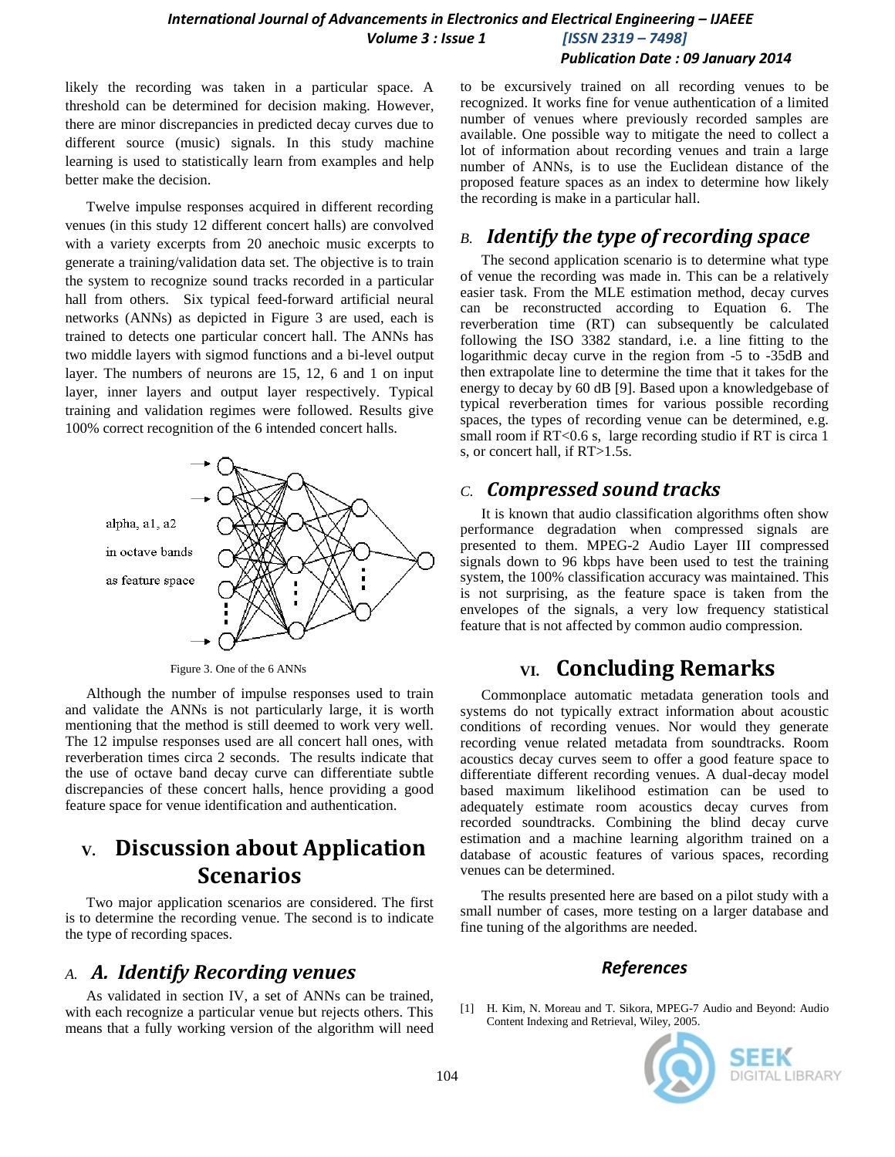likely the recording was taken in a particular space. A threshold can be determined for decision making. However, there are minor discrepancies in predicted decay curves due to different source (music) signals. In this study machine learning is used to statistically learn from examples and help better make the decision.

Twelve impulse responses acquired in different recording venues (in this study 12 different concert halls) are convolved with a variety excerpts from 20 anechoic music excerpts to generate a training/validation data set. The objective is to train the system to recognize sound tracks recorded in a particular hall from others. Six typical feed-forward artificial neural networks (ANNs) as depicted in Figure 3 are used, each is trained to detects one particular concert hall. The ANNs has two middle layers with sigmod functions and a bi-level output layer. The numbers of neurons are 15, 12, 6 and 1 on input layer, inner layers and output layer respectively. Typical training and validation regimes were followed. Results give 100% correct recognition of the 6 intended concert halls.



Figure 3. One of the 6 ANNs

Although the number of impulse responses used to train and validate the ANNs is not particularly large, it is worth mentioning that the method is still deemed to work very well. The 12 impulse responses used are all concert hall ones, with reverberation times circa 2 seconds. The results indicate that the use of octave band decay curve can differentiate subtle discrepancies of these concert halls, hence providing a good feature space for venue identification and authentication.

# **V. Discussion about Application Scenarios**

Two major application scenarios are considered. The first is to determine the recording venue. The second is to indicate the type of recording spaces.

#### *A. A. Identify Recording venues*

As validated in section IV, a set of ANNs can be trained, with each recognize a particular venue but rejects others. This means that a fully working version of the algorithm will need to be excursively trained on all recording venues to be recognized. It works fine for venue authentication of a limited number of venues where previously recorded samples are available. One possible way to mitigate the need to collect a lot of information about recording venues and train a large number of ANNs, is to use the Euclidean distance of the proposed feature spaces as an index to determine how likely the recording is make in a particular hall.

## *B. Identify the type of recording space*

The second application scenario is to determine what type of venue the recording was made in. This can be a relatively easier task. From the MLE estimation method, decay curves can be reconstructed according to Equation 6. The reverberation time (RT) can subsequently be calculated following the ISO 3382 standard, i.e. a line fitting to the logarithmic decay curve in the region from -5 to -35dB and then extrapolate line to determine the time that it takes for the energy to decay by 60 dB [9]. Based upon a knowledgebase of typical reverberation times for various possible recording spaces, the types of recording venue can be determined, e.g. small room if RT<0.6 s, large recording studio if RT is circa 1 s, or concert hall, if RT>1.5s.

#### *C. Compressed sound tracks*

It is known that audio classification algorithms often show performance degradation when compressed signals are presented to them. MPEG-2 Audio Layer III compressed signals down to 96 kbps have been used to test the training system, the 100% classification accuracy was maintained. This is not surprising, as the feature space is taken from the envelopes of the signals, a very low frequency statistical feature that is not affected by common audio compression.

# **VI. Concluding Remarks**

Commonplace automatic metadata generation tools and systems do not typically extract information about acoustic conditions of recording venues. Nor would they generate recording venue related metadata from soundtracks. Room acoustics decay curves seem to offer a good feature space to differentiate different recording venues. A dual-decay model based maximum likelihood estimation can be used to adequately estimate room acoustics decay curves from recorded soundtracks. Combining the blind decay curve estimation and a machine learning algorithm trained on a database of acoustic features of various spaces, recording venues can be determined.

The results presented here are based on a pilot study with a small number of cases, more testing on a larger database and fine tuning of the algorithms are needed.

#### *References*

[1] H. Kim, N. Moreau and T. Sikora, MPEG-7 Audio and Beyond: Audio Content Indexing and Retrieval, Wiley, 2005.